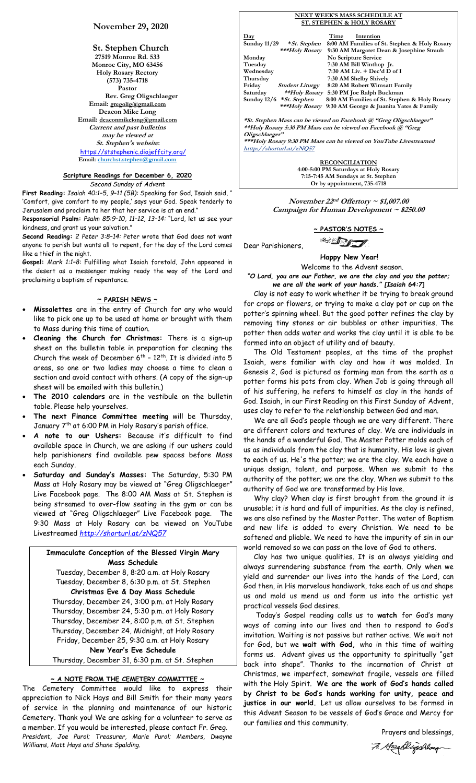### **November 29, 2020**

**St. Stephen Church 27519 Monroe Rd. 533 Monroe City, MO 63456 Holy Rosary Rectory (573) 735-4718 Pastor Rev. Greg Oligschlaeger Email: gregolig@gmail.com Deacon Mike Long Email: deaconmikelong@gmail.com Current and past bulletins may be viewed at St. Stephen's website:** <https://ststephenic.diojeffcity.org/> **Email: [churchst.stephen@gmail.com](mailto:churchst.stephen@gmail.com)**

# **Scripture Readings for December 6, 2020**

*Second Sunday of Advent*

**First Reading:** *Isaiah 40:1–5, 9–11 (5B):* Speaking for God, Isaiah said, " 'Comfort, give comfort to my people,' says your God. Speak tenderly to Jerusalem and proclaim to her that her service is at an end."

R**esponsorial Psalm:** *Psalm 85:9–10, 11–12, 13–14:* "Lord, let us see your kindness, and grant us your salvation."

**Second Reading:** *2 Peter 3:8–14:* Peter wrote that God does not want anyone to perish but wants all to repent, for the day of the Lord comes like a thief in the night.

**Gospel:** *Mark 1:1–8:* Fulfilling what Isaiah foretold, John appeared in the desert as a messenger making ready the way of the Lord and proclaiming a baptism of repentance.

### **~ PARISH NEWS ~**

- **Missalettes** are in the entry of Church for any who would like to pick one up to be used at home or brought with them to Mass during this time of caution.
- **Cleaning the Church for Christmas:** There is a sign-up sheet on the bulletin table in preparation for cleaning the Church the week of December  $6^{th}$  -  $12^{th}$ . It is divided into 5 areas, so one or two ladies may choose a time to clean a section and avoid contact with others. (A copy of the sign-up sheet will be emailed with this bulletin.)
- **The 2010 calendars** are in the vestibule on the bulletin table. Please help yourselves.
- **The next Finance Committee meeting** will be Thursday, January 7th at 6:00 PM in Holy Rosary's parish office.
- **A note to our Ushers:** Because it's difficult to find available space in Church, we are asking if our ushers could help parishioners find available pew spaces before Mass each Sunday.
- **Saturday and Sunday's Masses:** The Saturday, 5:30 PM Mass at Holy Rosary may be viewed at "Greg Oligschlaeger" Live Facebook page. The 8:00 AM Mass at St. Stephen is being streamed to over-flow seating in the gym or can be viewed at "Greg Oligschlaeger" Live Facebook page. The 9:30 Mass at Holy Rosary can be viewed on YouTube Livestreamed *<http://shorturl.at/zNQ57>*

**Immaculate Conception of the Blessed Virgin Mary Mass Schedule** Tuesday, December 8, 8:20 a.m. at Holy Rosary Tuesday, December 8, 6:30 p.m. at St. Stephen **Christmas Eve & Day Mass Schedule** Thursday, December 24, 3:00 p.m. at Holy Rosary Thursday, December 24, 5:30 p.m. at Holy Rosary Thursday, December 24, 8:00 p.m. at St. Stephen Thursday, December 24, Midnight, at Holy Rosary Friday, December 25, 9:30 a.m. at Holy Rosary **New Year's Eve Schedule** Thursday, December 31, 6:30 p.m. at St. Stephen

### **~ A NOTE FROM THE CEMETERY COMMITTEE ~**

The Cemetery Committee would like to express their appreciation to Nick Hays and Bill Smith for their many years of service in the planning and maintenance of our historic Cemetery. Thank you! We are asking for a volunteer to serve as a member. If you would be interested, please contact Fr. Greg. *President, Joe Purol; Treasurer, Marie Purol; Members, Dwayne Williams, Matt Hays and Shane Spalding.*

#### **NEXT WEEK'S MASS SCHEDULE AT ST. STEPHEN & HOLY ROSARY**

| Day                 |                                    | Time | Intention                                     |  |
|---------------------|------------------------------------|------|-----------------------------------------------|--|
| <b>Sunday 11/29</b> | *St. Stephen                       |      | 8:00 AM Families of St. Stephen & Holy Rosary |  |
|                     | ***Holy Rosary                     |      | 9:30 AM Margaret Dean & Josephine Straub      |  |
| Monday              |                                    |      | No Scripture Service                          |  |
| Tuesday             |                                    |      | 7:30 AM Bill Winthop Jr.                      |  |
| Wednesday           |                                    |      | $7:30$ AM Liv. $+$ Dec'd D of I               |  |
| Thursday            |                                    |      | 7:30 AM Shelby Shively                        |  |
| Friday              | <b>Student Liturgy</b>             |      | 8:20 AM Robert Wimsatt Family                 |  |
| Saturday            | **Holy Rosary                      |      | 5:30 PM Joe Ralph Buckman                     |  |
|                     | Sunday $12/6$ * <i>St. Stephen</i> |      | 8:00 AM Families of St. Stephen & Holy Rosary |  |
|                     | ***Holy Rosary                     |      | 9:30 AM George & Juanita Yates & Family       |  |
|                     |                                    |      |                                               |  |
|                     |                                    |      |                                               |  |

**\*St. Stephen Mass can be viewed on Facebook @ "Greg Oligschlaeger" \*\*Holy Rosary 5:30 PM Mass can be viewed on Facebook @ "Greg Oligschlaeger"**

**\*\*\*Holy Rosary 9:30 PM Mass can be viewed on YouTube Livestreamed htttp://shorturl.at/zNQ57** 

> **RECONCILIATION 4:00-5:00 PM Saturdays at Holy Rosary 7:15-7:45 AM Sundays at St. Stephen Or by appointment, 735-4718**

**November 22 nd Offertory ~ \$1,007.00 Campaign for Human Development ~ \$250.00**

**~ PASTOR'S NOTES ~**

<sup>2</sup> DI

Dear Parishioners,

 **Happy New Year**!

 Welcome to the Advent season. *"O Lord, you are our Father, we are the clay and you the potter;* 

*we are all the work of your hands." [Isaiah 64:7***]** Clay is not easy to work whether it be trying to break ground for crops or flowers, or trying to make a clay pot or cup on the potter's spinning wheel. But the good potter refines the clay by removing tiny stones or air bubbles or other impurities. The potter then adds water and works the clay until it is able to be formed into an object of utility and of beauty.

 The Old Testament peoples, at the time of the prophet Isaiah, were familiar with clay and how it was molded. In Genesis 2, God is pictured as forming man from the earth as a potter forms his pots from clay. When Job is going through all of his suffering, he refers to himself as clay in the hands of God. Isaiah, in our First Reading on this First Sunday of Advent, uses clay to refer to the relationship between God and man.

 We are all God's people though we are very different. There are different colors and textures of clay. We are individuals in the hands of a wonderful God. The Master Potter molds each of us as individuals from the clay that is humanity. His love is given to each of us. He's the potter; we are the clay. We each have a unique design, talent, and purpose. When we submit to the authority of the potter; we are the clay. When we submit to the authority of God we are transformed by His love.

 Why clay? When clay is first brought from the ground it is unusable; it is hard and full of impurities. As the clay is refined, we are also refined by the Master Potter. The water of Baptism and new life is added to every Christian. We need to be softened and pliable. We need to have the impurity of sin in our world removed so we can pass on the love of God to others.

 Clay has two unique qualities. It is an always yielding and always surrendering substance from the earth. Only when we yield and surrender our lives into the hands of the Lord, can God then, in His marvelous handiwork, take each of us and shape us and mold us mend us and form us into the artistic yet practical vessels God desires.

 Today's Gospel reading calls us to **watch** for God's many ways of coming into our lives and then to respond to God's invitation. Waiting is not passive but rather active. We wait not for God, but we **wait with God,** who in this time of waiting forms us. Advent gives us the opportunity to spiritually "get back into shape". Thanks to the incarnation of Christ at Christmas, we imperfect, somewhat fragile, vessels are filled with the Holy Spirit. **We are the work of God's hands called by Christ to be God's hands working for unity, peace and justice in our world.** Let us allow ourselves to be formed in this Advent Season to be vessels of God's Grace and Mercy for our families and this community.

Prayers and blessings,

7. George Digochlaug